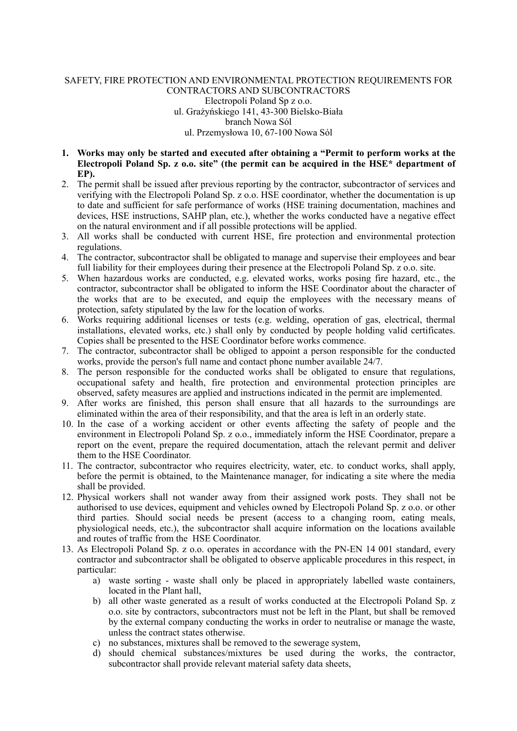## SAFETY, FIRE PROTECTION AND ENVIRONMENTAL PROTECTION REQUIREMENTS FOR CONTRACTORS AND SUBCONTRACTORS Electropoli Poland Sp z o.o. ul. Grażyńskiego 141, 43-300 Bielsko-Biała branch Nowa Sól ul. Przemysłowa 10, 67-100 Nowa Sól

- **1. Works may only be started and executed after obtaining a "Permit to perform works at the Electropoli Poland Sp. z o.o. site" (the permit can be acquired in the HSE\* department of EP).**
- 2. The permit shall be issued after previous reporting by the contractor, subcontractor of services and verifying with the Electropoli Poland Sp.  $\bar{z}$  o.o. HSE coordinator, whether the documentation is up to date and sufficient for safe performance of works (HSE training documentation, machines and devices, HSE instructions, SAHP plan, etc.), whether the works conducted have a negative effect on the natural environment and if all possible protections will be applied.
- 3. All works shall be conducted with current HSE, fire protection and environmental protection regulations.
- 4. The contractor, subcontractor shall be obligated to manage and supervise their employees and bear full liability for their employees during their presence at the Electropoli Poland Sp. z o.o. site.
- 5. When hazardous works are conducted, e.g. elevated works, works posing fire hazard, etc., the contractor, subcontractor shall be obligated to inform the HSE Coordinator about the character of the works that are to be executed, and equip the employees with the necessary means of protection, safety stipulated by the law for the location of works.
- 6. Works requiring additional licenses or tests (e.g. welding, operation of gas, electrical, thermal installations, elevated works, etc.) shall only by conducted by people holding valid certificates. Copies shall be presented to the HSE Coordinator before works commence.
- 7. The contractor, subcontractor shall be obliged to appoint a person responsible for the conducted works, provide the person's full name and contact phone number available 24/7.
- 8. The person responsible for the conducted works shall be obligated to ensure that regulations, occupational safety and health, fire protection and environmental protection principles are observed, safety measures are applied and instructions indicated in the permit are implemented.
- 9. After works are finished, this person shall ensure that all hazards to the surroundings are eliminated within the area of their responsibility, and that the area is left in an orderly state.
- 10. In the case of a working accident or other events affecting the safety of people and the environment in Electropoli Poland Sp. z o.o., immediately inform the HSE Coordinator, prepare a report on the event, prepare the required documentation, attach the relevant permit and deliver them to the HSE Coordinator.
- 11. The contractor, subcontractor who requires electricity, water, etc. to conduct works, shall apply, before the permit is obtained, to the Maintenance manager, for indicating a site where the media shall be provided.
- 12. Physical workers shall not wander away from their assigned work posts. They shall not be authorised to use devices, equipment and vehicles owned by Electropoli Poland Sp. z o.o. or other third parties. Should social needs be present (access to a changing room, eating meals, physiological needs, etc.), the subcontractor shall acquire information on the locations available and routes of traffic from the HSE Coordinator.
- 13. As Electropoli Poland Sp. z o.o. operates in accordance with the PN-EN 14 001 standard, every contractor and subcontractor shall be obligated to observe applicable procedures in this respect, in particular:
	- a) waste sorting waste shall only be placed in appropriately labelled waste containers, located in the Plant hall,
	- b) all other waste generated as a result of works conducted at the Electropoli Poland Sp. z o.o. site by contractors, subcontractors must not be left in the Plant, but shall be removed by the external company conducting the works in order to neutralise or manage the waste, unless the contract states otherwise.
	- c) no substances, mixtures shall be removed to the sewerage system,
	- d) should chemical substances/mixtures be used during the works, the contractor, subcontractor shall provide relevant material safety data sheets,